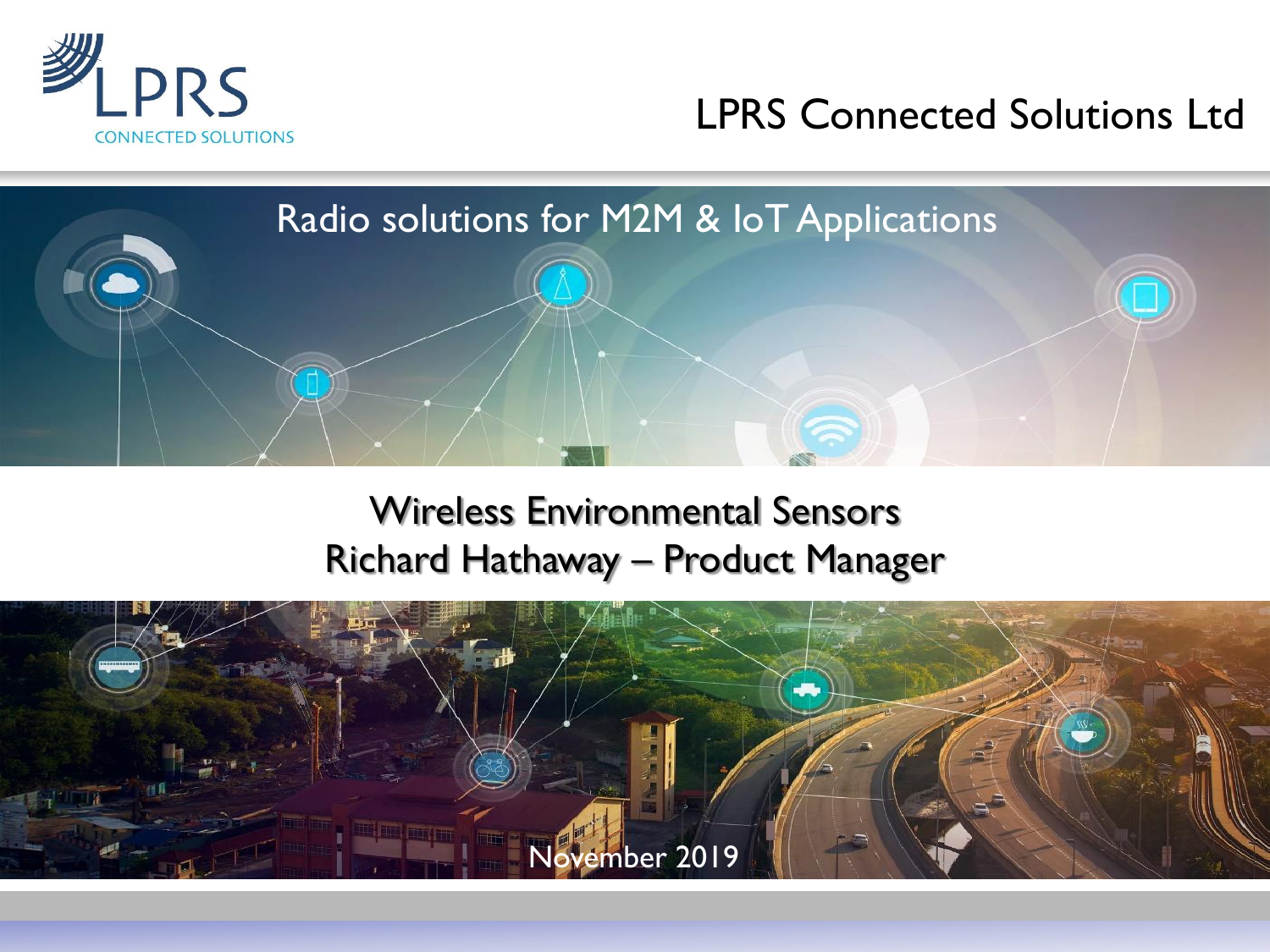

#### LPRS Connected Solutions Ltd



#### Wireless Environmental Sensors Richard Hathaway – Product Manager

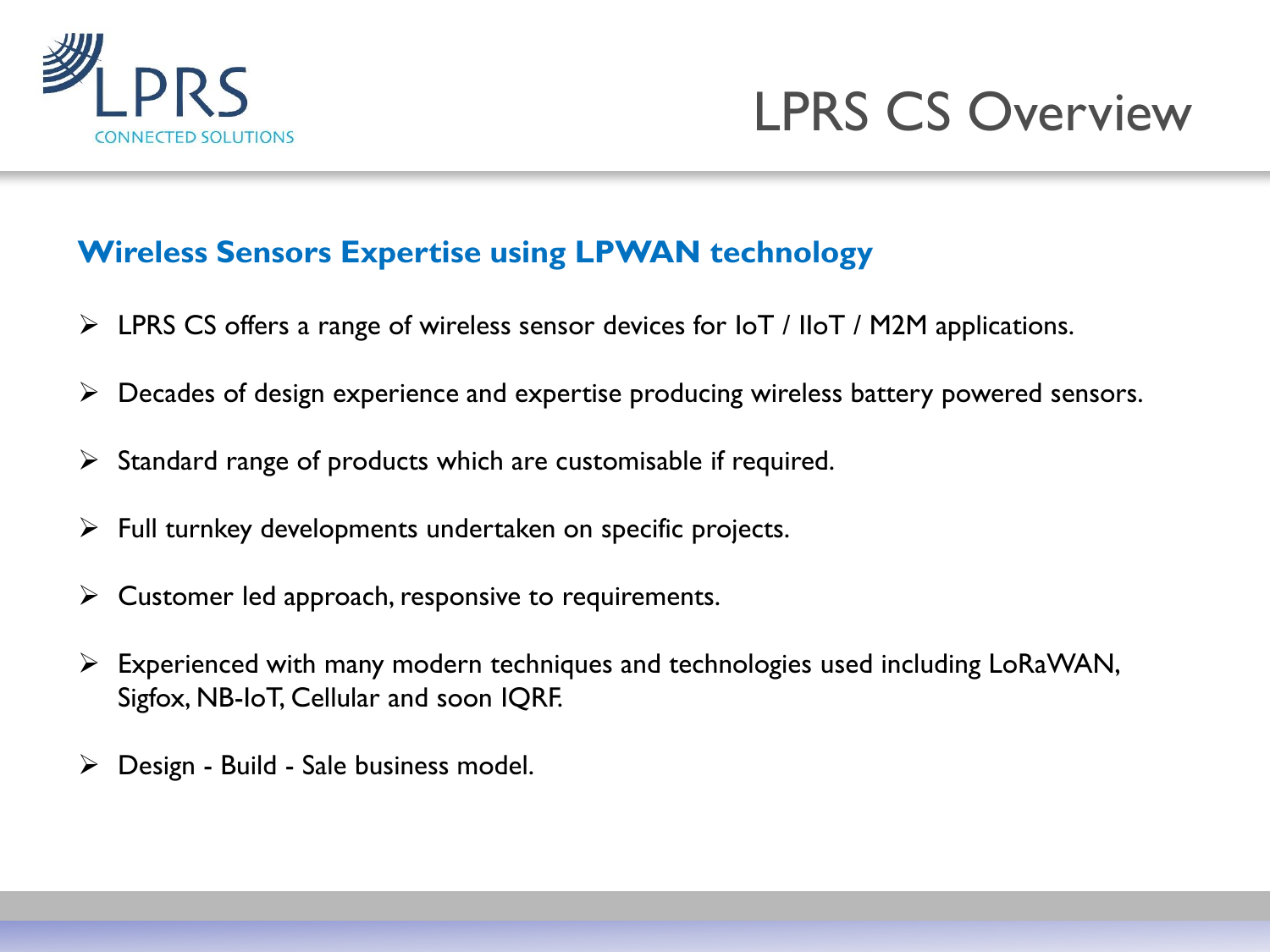



#### **Wireless Sensors Expertise using LPWAN technology**

- $\triangleright$  LPRS CS offers a range of wireless sensor devices for IoT / IIoT / M2M applications.
- ➢ Decades of design experience and expertise producing wireless battery powered sensors.
- $\triangleright$  Standard range of products which are customisable if required.
- $\triangleright$  Full turnkey developments undertaken on specific projects.
- $\triangleright$  Customer led approach, responsive to requirements.
- ➢ Experienced with many modern techniques and technologies used including LoRaWAN, Sigfox, NB-IoT, Cellular and soon IQRF.
- $\triangleright$  Design Build Sale business model.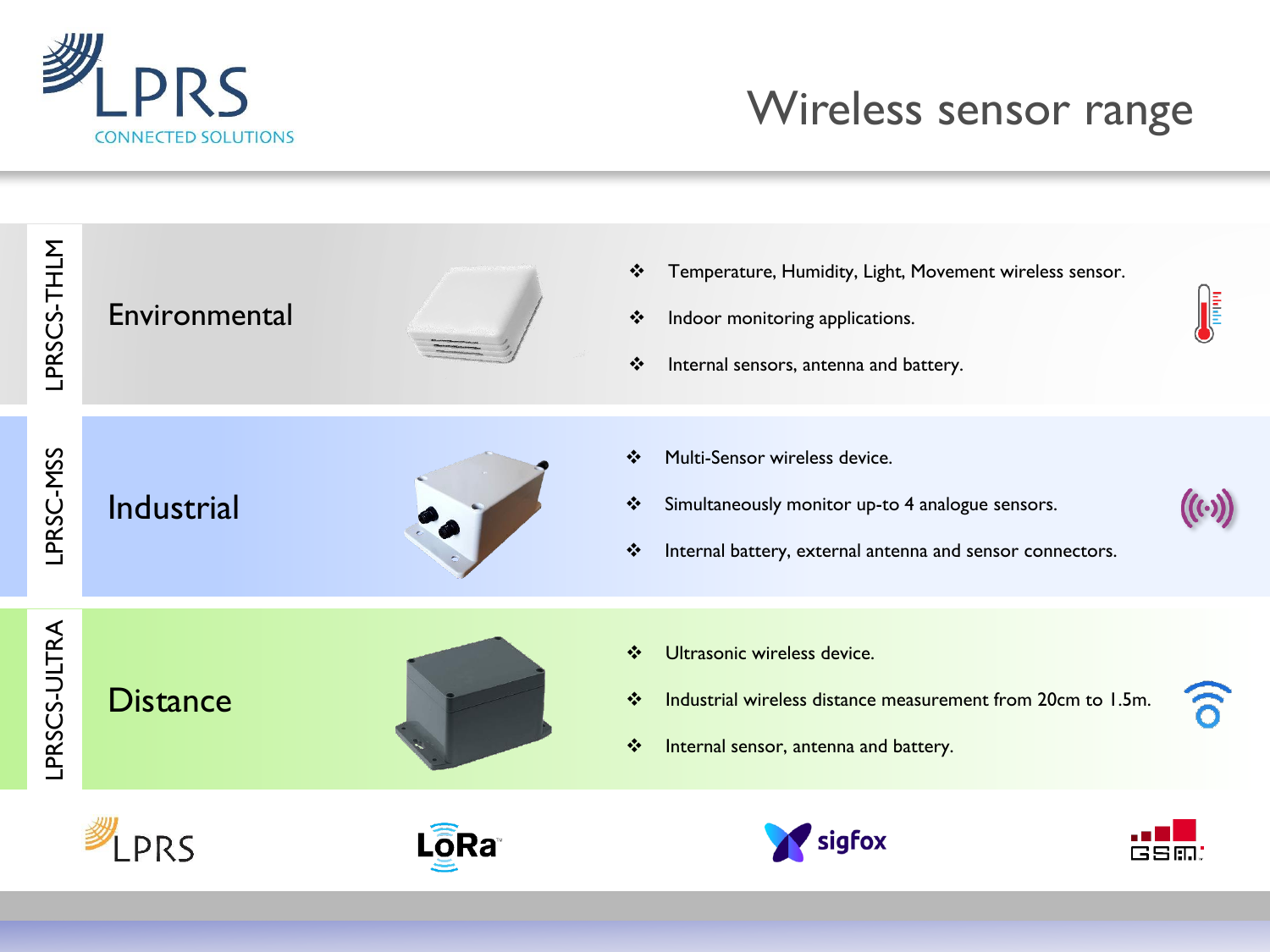

### Wireless sensor range

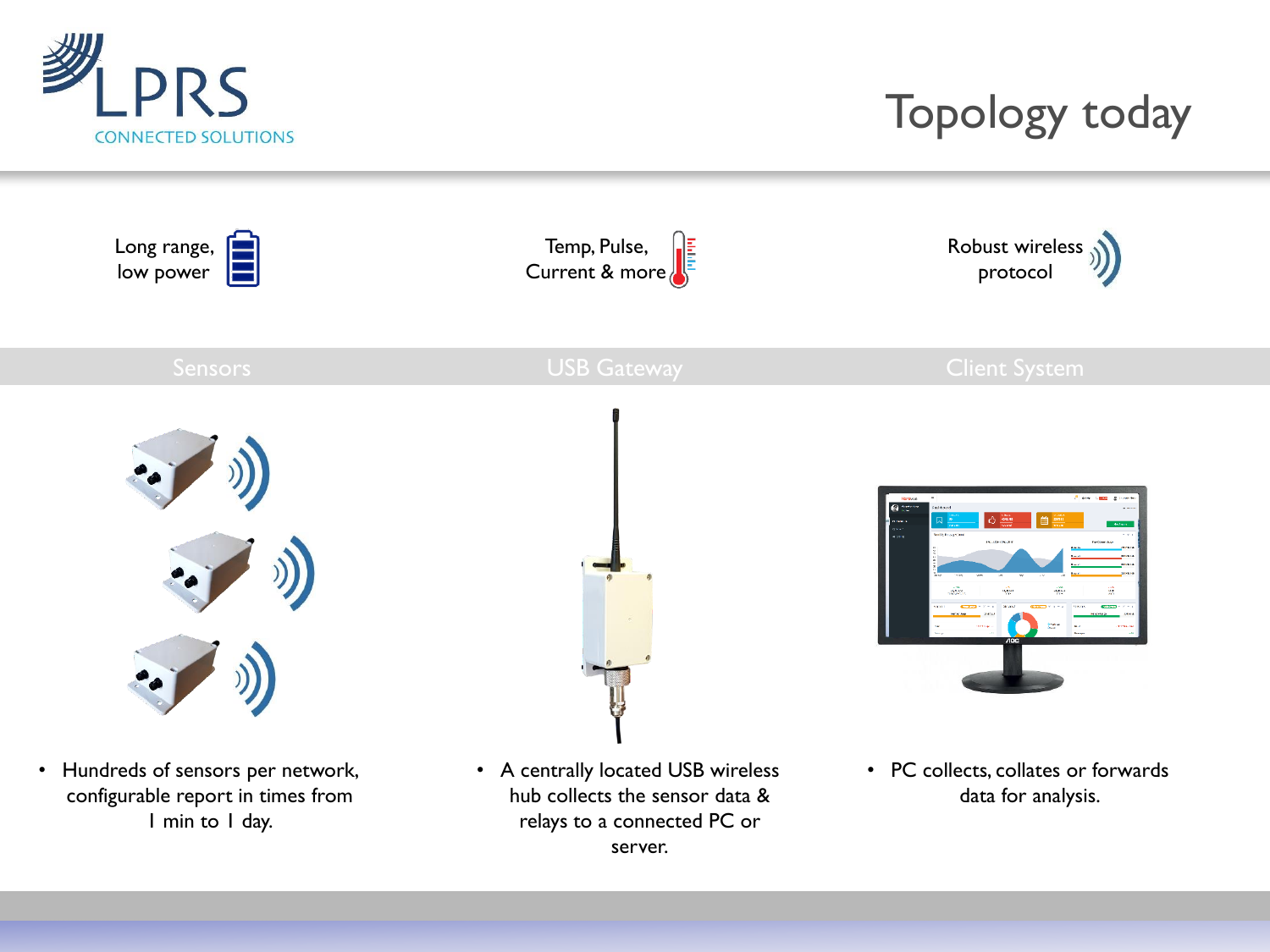

# Topology today

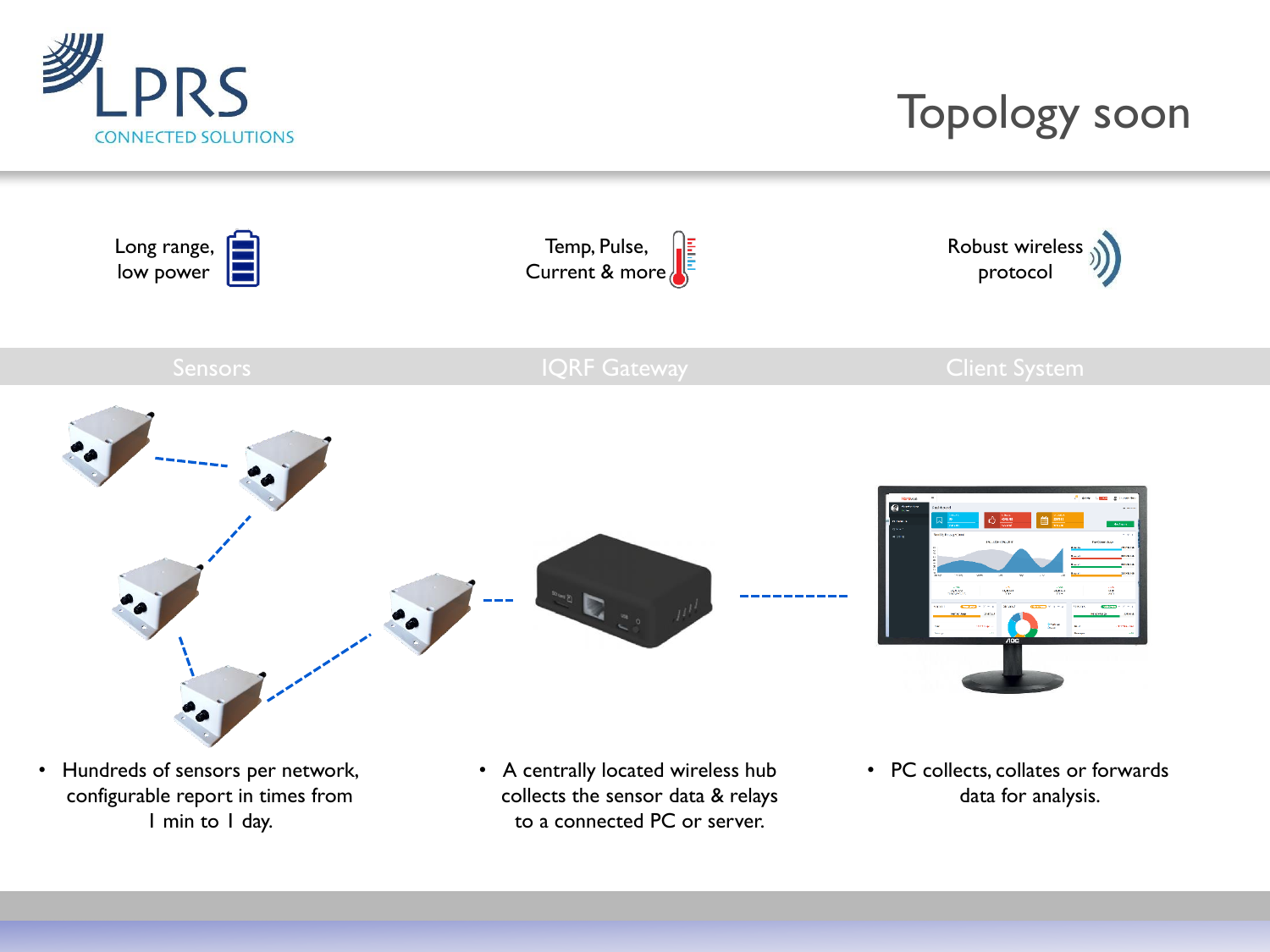

### Topology soon



configurable report in times from 1 min to 1 day.

- collects the sensor data & relays to a connected PC or server.
- data for analysis.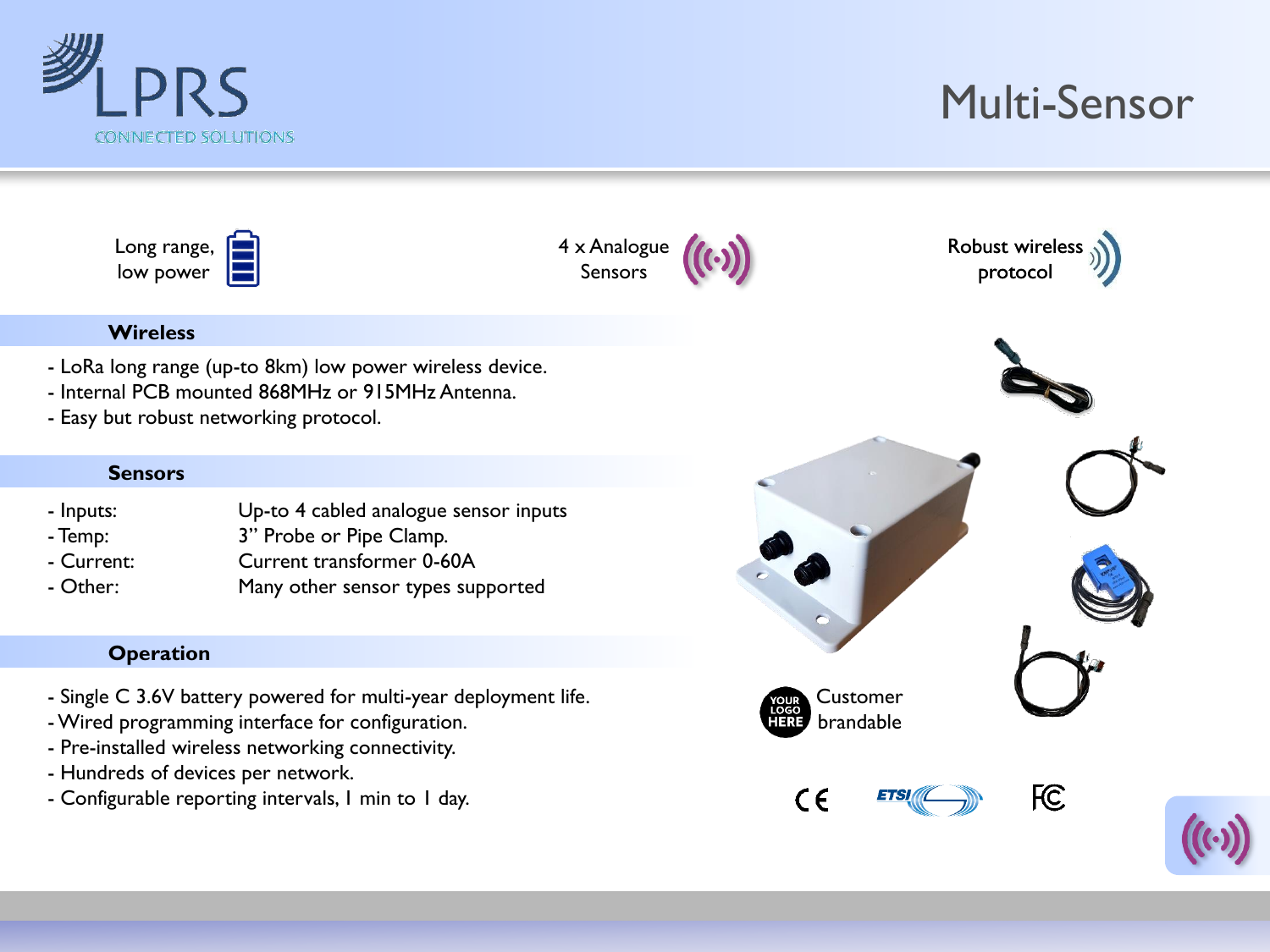

## Multi-Sensor

| Long range, |  |
|-------------|--|
|             |  |
| low power   |  |
|             |  |









- LoRa long range (up-to 8km) low power wireless device.
- Internal PCB mounted 868MHz or 915MHz Antenna.
- Easy but robust networking protocol.

#### **Sensors**

- Inputs: Up-to 4 cabled analogue sensor inputs
- Temp: 3" Probe or Pipe Clamp.
- Current: Current transformer 0-60A
- Other: Many other sensor types supported

#### **Operation**

- Single C 3.6V battery powered for multi-year deployment life.
- -Wired programming interface for configuration.
- Pre-installed wireless networking connectivity.
- Hundreds of devices per network.
- Configurable reporting intervals, 1 min to 1 day.

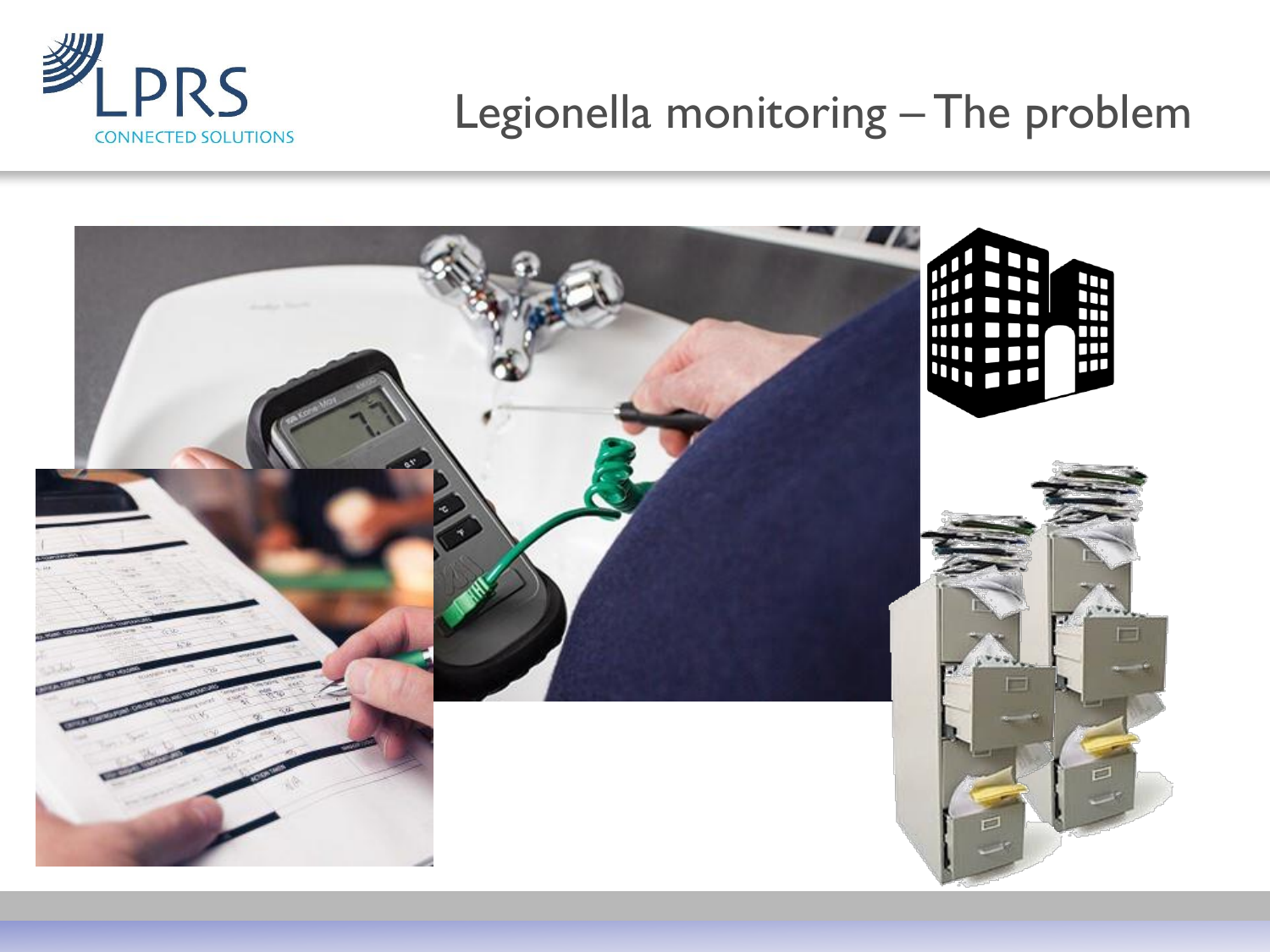

### Legionella monitoring – The problem

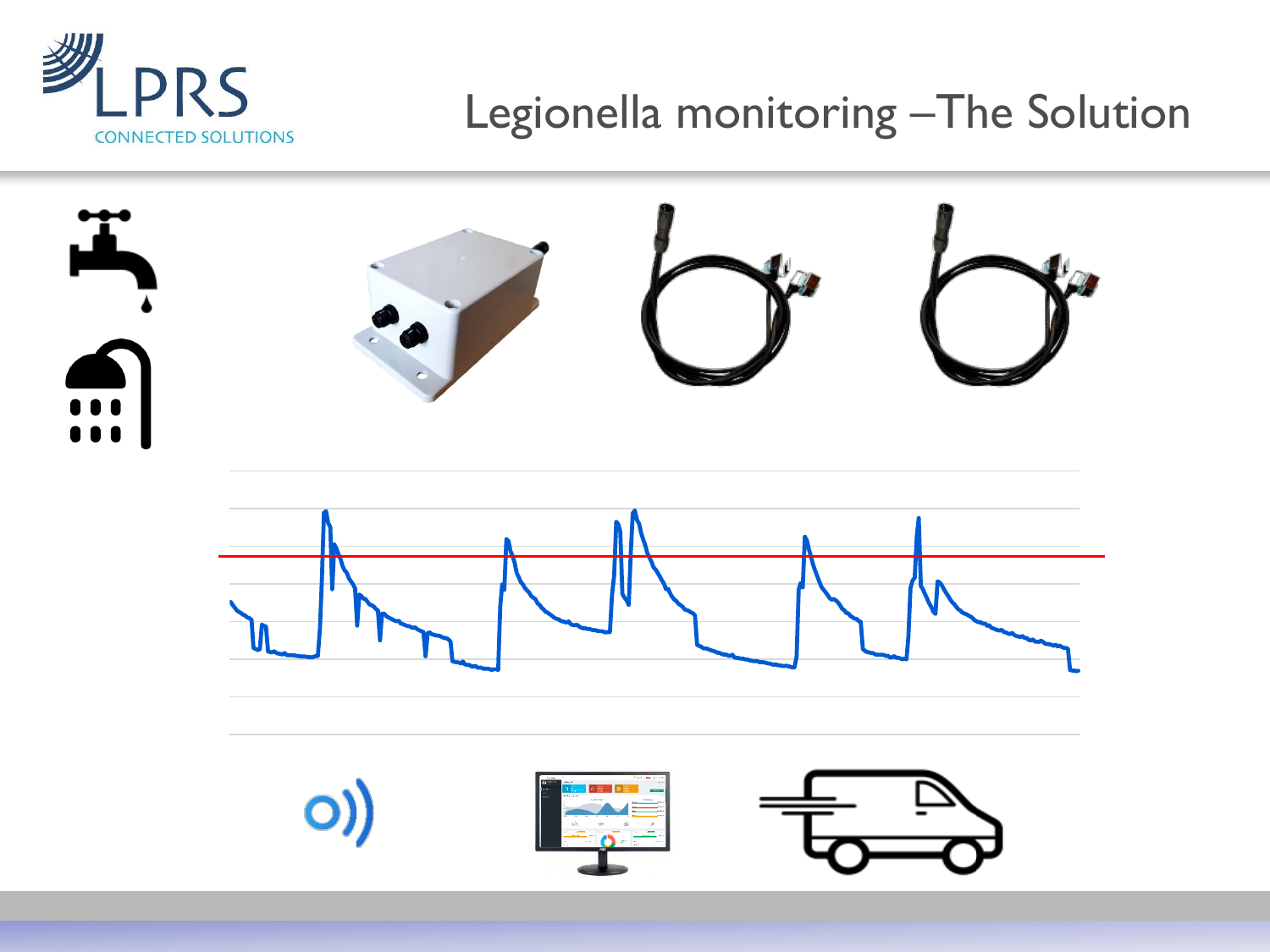

## Legionella monitoring –The Solution